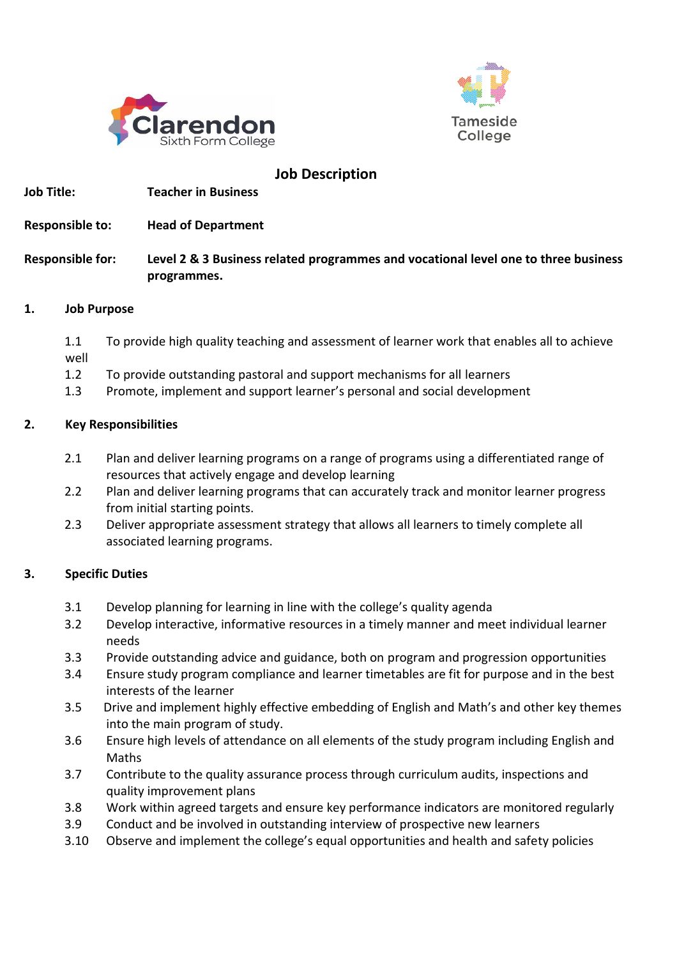



#### **Job Description Job Title: Teacher in Business**

**Responsible to: Head of Department**

# **Responsible for: Level 2 & 3 Business related programmes and vocational level one to three business programmes.**

#### **1. Job Purpose**

- 1.1 To provide high quality teaching and assessment of learner work that enables all to achieve well
- 1.2 To provide outstanding pastoral and support mechanisms for all learners
- 1.3 Promote, implement and support learner's personal and social development

# **2. Key Responsibilities**

- 2.1 Plan and deliver learning programs on a range of programs using a differentiated range of resources that actively engage and develop learning
- 2.2 Plan and deliver learning programs that can accurately track and monitor learner progress from initial starting points.
- 2.3 Deliver appropriate assessment strategy that allows all learners to timely complete all associated learning programs.

# **3. Specific Duties**

- 3.1 Develop planning for learning in line with the college's quality agenda
- 3.2 Develop interactive, informative resources in a timely manner and meet individual learner needs
- 3.3 Provide outstanding advice and guidance, both on program and progression opportunities
- 3.4 Ensure study program compliance and learner timetables are fit for purpose and in the best interests of the learner
- 3.5 Drive and implement highly effective embedding of English and Math's and other key themes into the main program of study.
- 3.6 Ensure high levels of attendance on all elements of the study program including English and Maths
- 3.7 Contribute to the quality assurance process through curriculum audits, inspections and quality improvement plans
- 3.8 Work within agreed targets and ensure key performance indicators are monitored regularly
- 3.9 Conduct and be involved in outstanding interview of prospective new learners
- 3.10 Observe and implement the college's equal opportunities and health and safety policies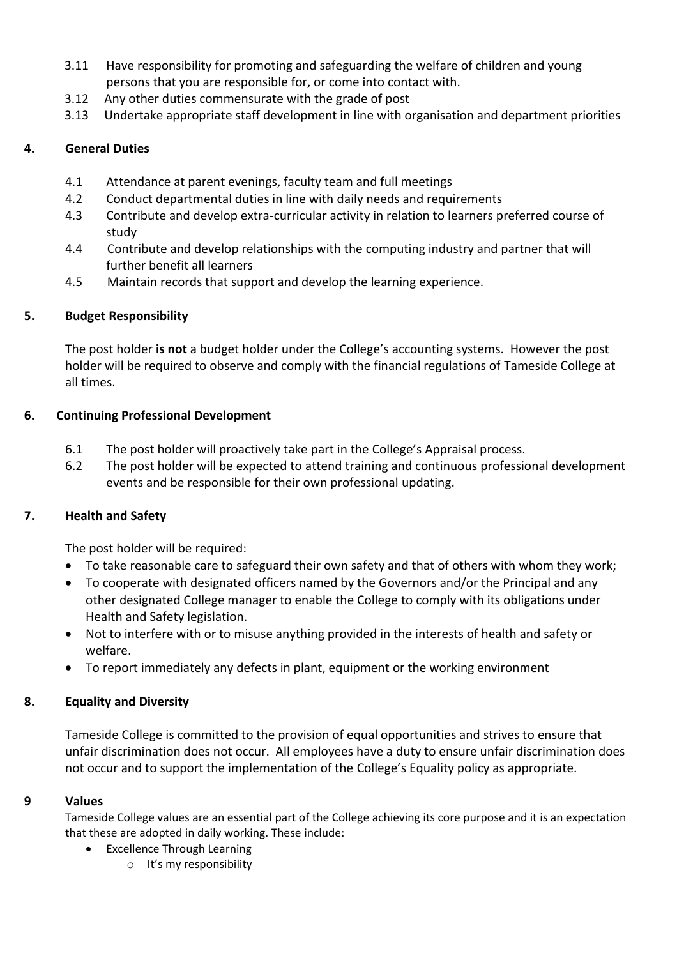- 3.11 Have responsibility for promoting and safeguarding the welfare of children and young persons that you are responsible for, or come into contact with.
- 3.12 Any other duties commensurate with the grade of post
- 3.13 Undertake appropriate staff development in line with organisation and department priorities

# **4. General Duties**

- 4.1 Attendance at parent evenings, faculty team and full meetings
- 4.2 Conduct departmental duties in line with daily needs and requirements
- 4.3 Contribute and develop extra-curricular activity in relation to learners preferred course of study
- 4.4 Contribute and develop relationships with the computing industry and partner that will further benefit all learners
- 4.5 Maintain records that support and develop the learning experience.

# **5. Budget Responsibility**

The post holder **is not** a budget holder under the College's accounting systems. However the post holder will be required to observe and comply with the financial regulations of Tameside College at all times.

# **6. Continuing Professional Development**

- 6.1 The post holder will proactively take part in the College's Appraisal process.
- 6.2 The post holder will be expected to attend training and continuous professional development events and be responsible for their own professional updating.

# **7. Health and Safety**

The post holder will be required:

- To take reasonable care to safeguard their own safety and that of others with whom they work;
- To cooperate with designated officers named by the Governors and/or the Principal and any other designated College manager to enable the College to comply with its obligations under Health and Safety legislation.
- Not to interfere with or to misuse anything provided in the interests of health and safety or welfare.
- To report immediately any defects in plant, equipment or the working environment

# **8. Equality and Diversity**

Tameside College is committed to the provision of equal opportunities and strives to ensure that unfair discrimination does not occur. All employees have a duty to ensure unfair discrimination does not occur and to support the implementation of the College's Equality policy as appropriate.

# **9 Values**

Tameside College values are an essential part of the College achieving its core purpose and it is an expectation that these are adopted in daily working. These include:

- Excellence Through Learning
	- o It's my responsibility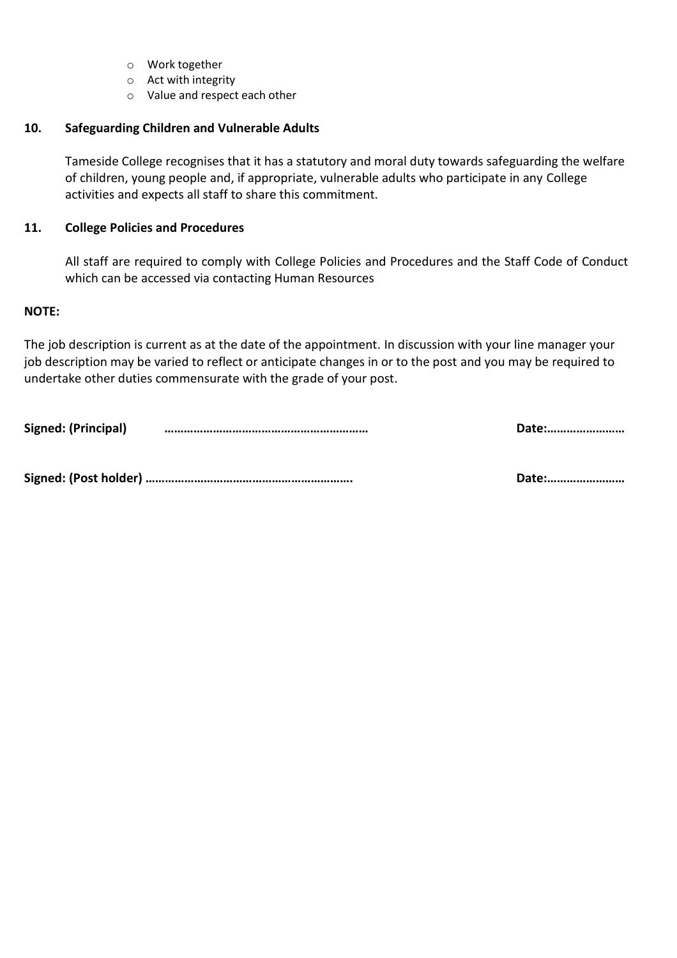- o Work together
- o Act with integrity
- o Value and respect each other

#### **10. Safeguarding Children and Vulnerable Adults**

Tameside College recognises that it has a statutory and moral duty towards safeguarding the welfare of children, young people and, if appropriate, vulnerable adults who participate in any College activities and expects all staff to share this commitment.

#### **11. College Policies and Procedures**

All staff are required to comply with College Policies and Procedures and the Staff Code of Conduct which can be accessed via contacting Human Resources

#### **NOTE:**

The job description is current as at the date of the appointment. In discussion with your line manager your job description may be varied to reflect or anticipate changes in or to the post and you may be required to undertake other duties commensurate with the grade of your post.

**Signed: (Principal) ……………………………………………………… Date:……………………**

**Signed: (Post holder) ………………………………………………………. Date:……………………**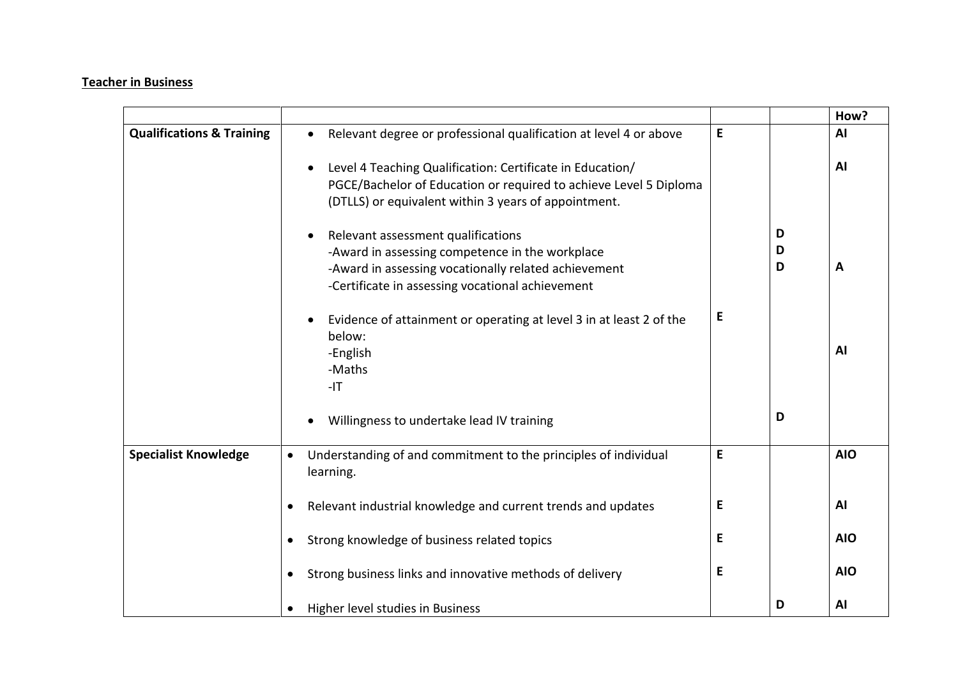#### **Teacher in Business**

|                                      |                                                                                                                                                                                                                |   |             | How?       |
|--------------------------------------|----------------------------------------------------------------------------------------------------------------------------------------------------------------------------------------------------------------|---|-------------|------------|
| <b>Qualifications &amp; Training</b> | Relevant degree or professional qualification at level 4 or above<br>$\bullet$                                                                                                                                 | E |             | AI         |
|                                      | Level 4 Teaching Qualification: Certificate in Education/<br>$\bullet$<br>PGCE/Bachelor of Education or required to achieve Level 5 Diploma<br>(DTLLS) or equivalent within 3 years of appointment.            |   |             | AI         |
|                                      | Relevant assessment qualifications<br>$\bullet$<br>-Award in assessing competence in the workplace<br>-Award in assessing vocationally related achievement<br>-Certificate in assessing vocational achievement |   | D<br>D<br>D | A          |
|                                      | Evidence of attainment or operating at level 3 in at least 2 of the<br>$\bullet$<br>below:<br>-English<br>-Maths<br>$-IT$                                                                                      | E |             | AI         |
|                                      | Willingness to undertake lead IV training                                                                                                                                                                      |   | D           |            |
| <b>Specialist Knowledge</b>          | Understanding of and commitment to the principles of individual<br>$\bullet$<br>learning.                                                                                                                      | E |             | <b>AIO</b> |
|                                      | Relevant industrial knowledge and current trends and updates<br>$\bullet$                                                                                                                                      | Е |             | AI         |
|                                      | Strong knowledge of business related topics                                                                                                                                                                    | E |             | <b>AIO</b> |
|                                      | Strong business links and innovative methods of delivery<br>$\bullet$                                                                                                                                          | Е |             | <b>AIO</b> |
|                                      | Higher level studies in Business<br>$\bullet$                                                                                                                                                                  |   | D           | AI         |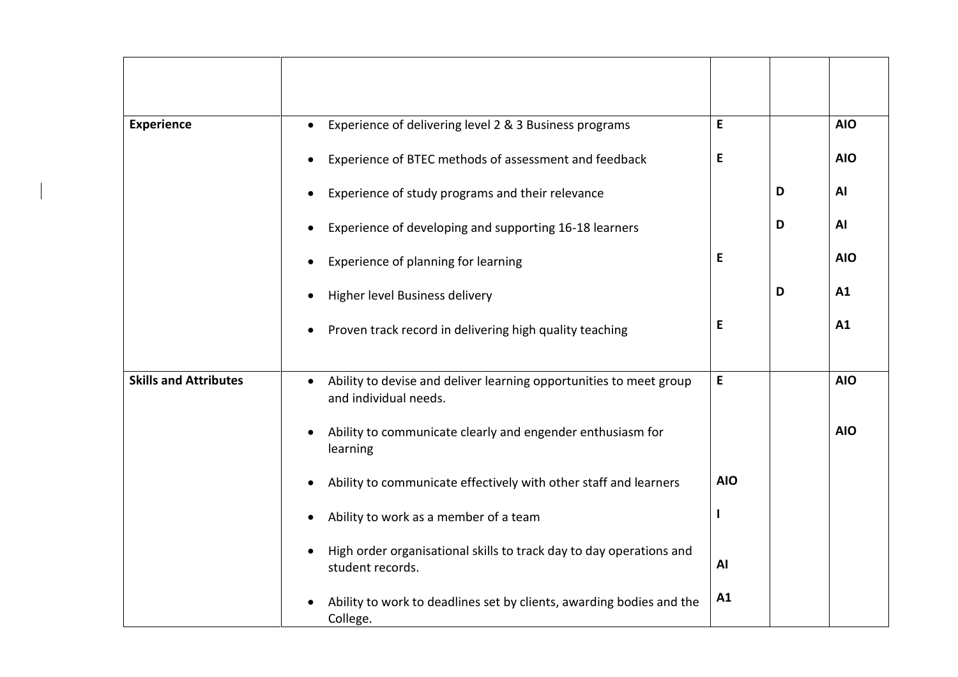| <b>Experience</b>            | Experience of delivering level 2 & 3 Business programs<br>$\bullet$                         | E          |   | <b>AIO</b> |
|------------------------------|---------------------------------------------------------------------------------------------|------------|---|------------|
|                              | Experience of BTEC methods of assessment and feedback                                       | E          |   | <b>AIO</b> |
|                              | Experience of study programs and their relevance                                            |            | D | AI         |
|                              | Experience of developing and supporting 16-18 learners                                      |            | D | <b>AI</b>  |
|                              | Experience of planning for learning                                                         | E          |   | <b>AIO</b> |
|                              | Higher level Business delivery                                                              |            | D | A1         |
|                              | Proven track record in delivering high quality teaching                                     | E          |   | A1         |
|                              |                                                                                             |            |   |            |
| <b>Skills and Attributes</b> | Ability to devise and deliver learning opportunities to meet group<br>and individual needs. | E          |   | <b>AIO</b> |
|                              | Ability to communicate clearly and engender enthusiasm for<br>$\bullet$<br>learning         |            |   | <b>AIO</b> |
|                              | Ability to communicate effectively with other staff and learners                            | <b>AIO</b> |   |            |
|                              | Ability to work as a member of a team                                                       |            |   |            |
|                              | High order organisational skills to track day to day operations and<br>student records.     | AI         |   |            |
|                              | Ability to work to deadlines set by clients, awarding bodies and the<br>College.            | A1         |   |            |